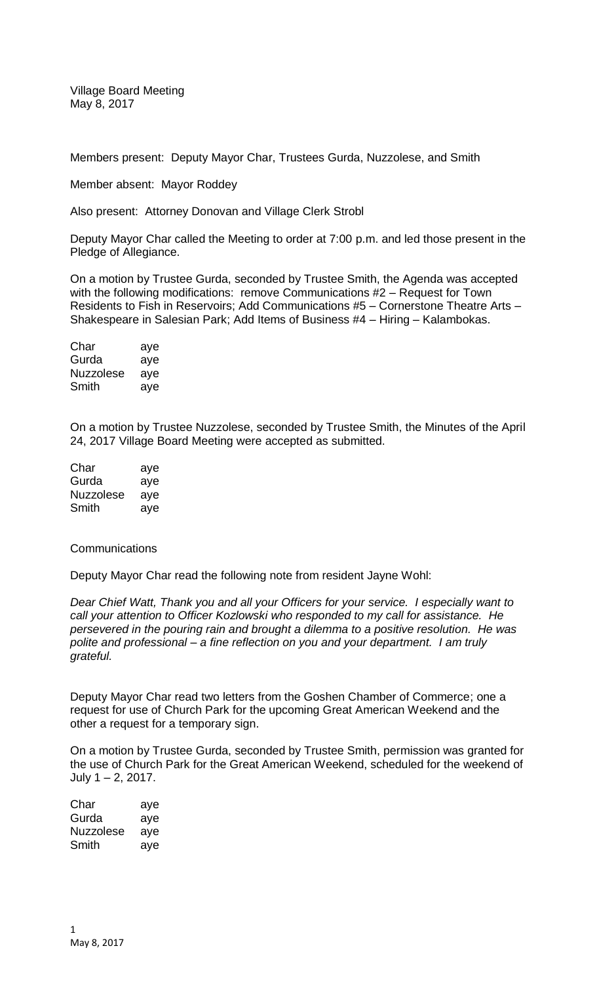Village Board Meeting May 8, 2017

Members present: Deputy Mayor Char, Trustees Gurda, Nuzzolese, and Smith

Member absent: Mayor Roddey

Also present: Attorney Donovan and Village Clerk Strobl

Deputy Mayor Char called the Meeting to order at 7:00 p.m. and led those present in the Pledge of Allegiance.

On a motion by Trustee Gurda, seconded by Trustee Smith, the Agenda was accepted with the following modifications: remove Communications #2 – Request for Town Residents to Fish in Reservoirs; Add Communications #5 – Cornerstone Theatre Arts – Shakespeare in Salesian Park; Add Items of Business #4 – Hiring – Kalambokas.

| Char             | aye |
|------------------|-----|
| Gurda            | aye |
| <b>Nuzzolese</b> | aye |
| Smith            | ave |

On a motion by Trustee Nuzzolese, seconded by Trustee Smith, the Minutes of the April 24, 2017 Village Board Meeting were accepted as submitted.

| Char             | aye |
|------------------|-----|
| Gurda            | aye |
| <b>Nuzzolese</b> | aye |
| Smith            | aye |

## Communications

Deputy Mayor Char read the following note from resident Jayne Wohl:

*Dear Chief Watt, Thank you and all your Officers for your service. I especially want to call your attention to Officer Kozlowski who responded to my call for assistance. He persevered in the pouring rain and brought a dilemma to a positive resolution. He was polite and professional – a fine reflection on you and your department. I am truly grateful.*

Deputy Mayor Char read two letters from the Goshen Chamber of Commerce; one a request for use of Church Park for the upcoming Great American Weekend and the other a request for a temporary sign.

On a motion by Trustee Gurda, seconded by Trustee Smith, permission was granted for the use of Church Park for the Great American Weekend, scheduled for the weekend of July 1 – 2, 2017.

| Char             | aye |
|------------------|-----|
| Gurda            | aye |
| <b>Nuzzolese</b> | aye |
| Smith            | aye |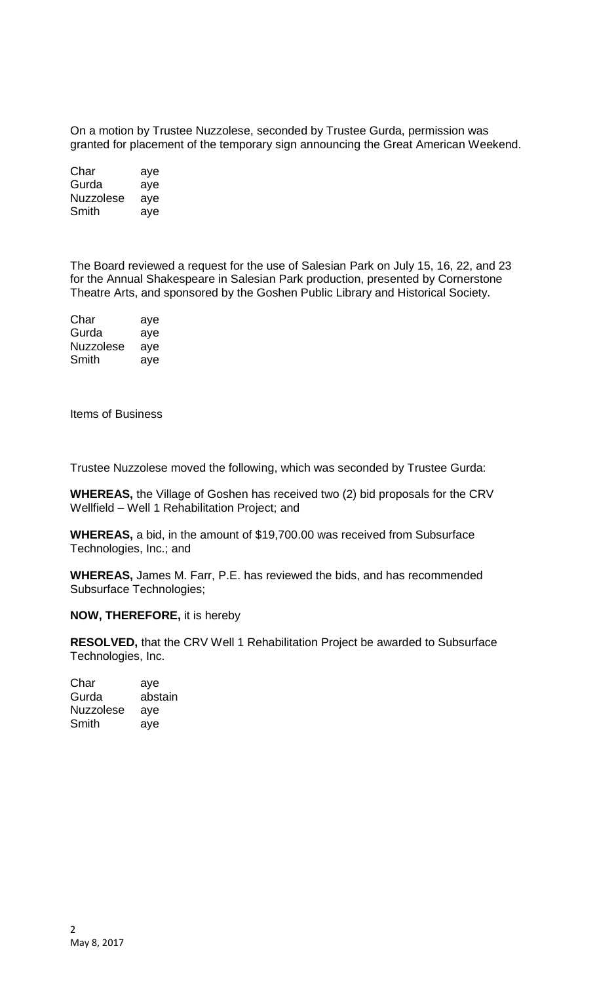On a motion by Trustee Nuzzolese, seconded by Trustee Gurda, permission was granted for placement of the temporary sign announcing the Great American Weekend.

| Char      | aye |
|-----------|-----|
| Gurda     | aye |
| Nuzzolese | aye |
| Smith     | aye |

The Board reviewed a request for the use of Salesian Park on July 15, 16, 22, and 23 for the Annual Shakespeare in Salesian Park production, presented by Cornerstone Theatre Arts, and sponsored by the Goshen Public Library and Historical Society.

| Char      | aye |
|-----------|-----|
| Gurda     | aye |
| Nuzzolese | aye |
| Smith     | aye |

Items of Business

Trustee Nuzzolese moved the following, which was seconded by Trustee Gurda:

**WHEREAS,** the Village of Goshen has received two (2) bid proposals for the CRV Wellfield – Well 1 Rehabilitation Project; and

**WHEREAS,** a bid, in the amount of \$19,700.00 was received from Subsurface Technologies, Inc.; and

**WHEREAS,** James M. Farr, P.E. has reviewed the bids, and has recommended Subsurface Technologies;

## **NOW, THEREFORE,** it is hereby

**RESOLVED,** that the CRV Well 1 Rehabilitation Project be awarded to Subsurface Technologies, Inc.

| Char             | aye     |
|------------------|---------|
| Gurda            | abstain |
| <b>Nuzzolese</b> | aye     |
| Smith            | aye     |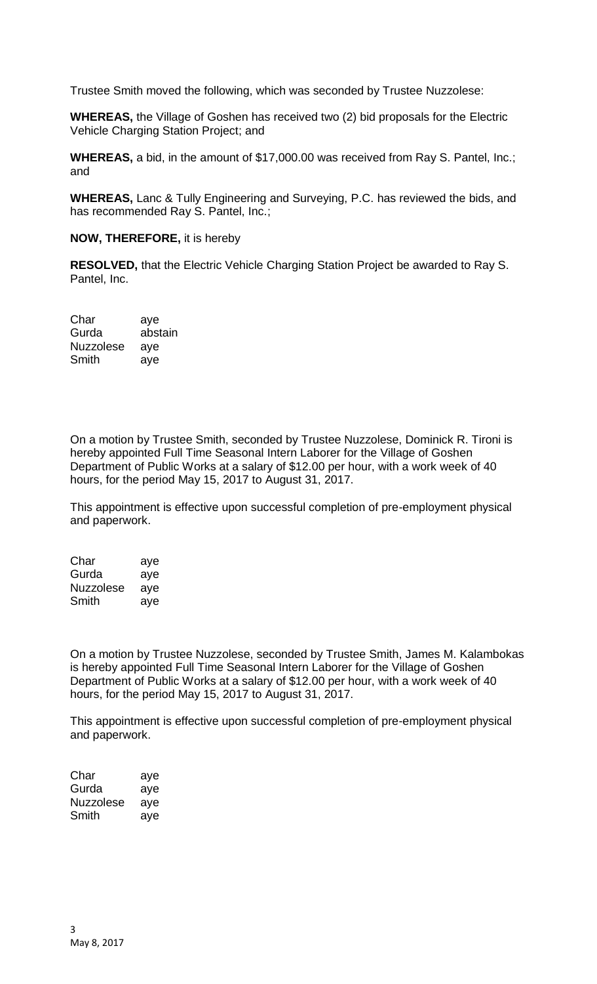Trustee Smith moved the following, which was seconded by Trustee Nuzzolese:

**WHEREAS,** the Village of Goshen has received two (2) bid proposals for the Electric Vehicle Charging Station Project; and

**WHEREAS,** a bid, in the amount of \$17,000.00 was received from Ray S. Pantel, Inc.; and

**WHEREAS,** Lanc & Tully Engineering and Surveying, P.C. has reviewed the bids, and has recommended Ray S. Pantel, Inc.;

## **NOW, THEREFORE,** it is hereby

**RESOLVED,** that the Electric Vehicle Charging Station Project be awarded to Ray S. Pantel, Inc.

Char aye Gurda abstain Nuzzolese aye Smith aye

On a motion by Trustee Smith, seconded by Trustee Nuzzolese, Dominick R. Tironi is hereby appointed Full Time Seasonal Intern Laborer for the Village of Goshen Department of Public Works at a salary of \$12.00 per hour, with a work week of 40 hours, for the period May 15, 2017 to August 31, 2017.

This appointment is effective upon successful completion of pre-employment physical and paperwork.

| Char      | aye |
|-----------|-----|
| Gurda     | aye |
| Nuzzolese | aye |
| Smith     | aye |

On a motion by Trustee Nuzzolese, seconded by Trustee Smith, James M. Kalambokas is hereby appointed Full Time Seasonal Intern Laborer for the Village of Goshen Department of Public Works at a salary of \$12.00 per hour, with a work week of 40 hours, for the period May 15, 2017 to August 31, 2017.

This appointment is effective upon successful completion of pre-employment physical and paperwork.

| Char      | aye |
|-----------|-----|
| Gurda     | aye |
| Nuzzolese | aye |
| Smith     | aye |